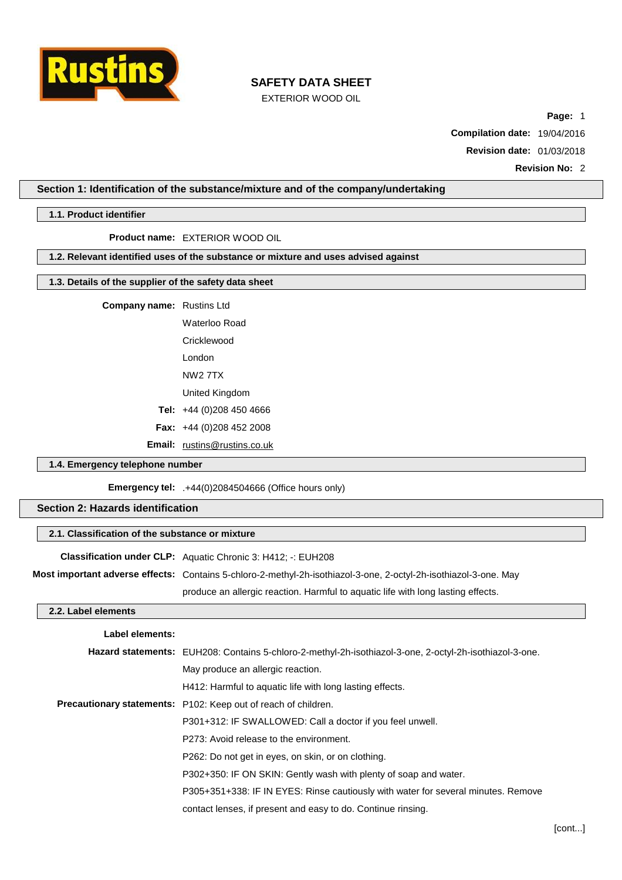

EXTERIOR WOOD OIL

**Page:** 1

**Compilation date:** 19/04/2016

**Revision date:** 01/03/2018

**Revision No:** 2

### **Section 1: Identification of the substance/mixture and of the company/undertaking**

#### **1.1. Product identifier**

**Product name:** EXTERIOR WOOD OIL

### **1.2. Relevant identified uses of the substance or mixture and uses advised against**

# **1.3. Details of the supplier of the safety data sheet**

**Company name:** Rustins Ltd

Waterloo Road Cricklewood

London NW2 7TX

United Kingdom

**Tel:** +44 (0)208 450 4666

**Fax:** +44 (0)208 452 2008

**Email:** [rustins@rustins.co.uk](mailto:rustins@rustins.co.uk)

### **1.4. Emergency telephone number**

**Emergency tel:** .+44(0)2084504666 (Office hours only)

### **Section 2: Hazards identification**

### **2.1. Classification of the substance or mixture**

**Classification under CLP:** Aquatic Chronic 3: H412; -: EUH208

**Most important adverse effects:** Contains 5-chloro-2-methyl-2h-isothiazol-3-one, 2-octyl-2h-isothiazol-3-one. May

produce an allergic reaction. Harmful to aquatic life with long lasting effects.

### **2.2. Label elements**

| Label elements: |                                                                                                         |
|-----------------|---------------------------------------------------------------------------------------------------------|
|                 | Hazard statements: EUH208: Contains 5-chloro-2-methyl-2h-isothiazol-3-one, 2-octyl-2h-isothiazol-3-one. |
|                 | May produce an allergic reaction.                                                                       |
|                 | H412: Harmful to aquatic life with long lasting effects.                                                |
|                 | <b>Precautionary statements:</b> P102: Keep out of reach of children.                                   |
|                 | P301+312: IF SWALLOWED: Call a doctor if you feel unwell.                                               |
|                 | P273: Avoid release to the environment.                                                                 |
|                 | P262: Do not get in eyes, on skin, or on clothing.                                                      |
|                 | P302+350: IF ON SKIN: Gently wash with plenty of soap and water.                                        |
|                 | P305+351+338: IF IN EYES: Rinse cautiously with water for several minutes. Remove                       |
|                 | contact lenses, if present and easy to do. Continue rinsing.                                            |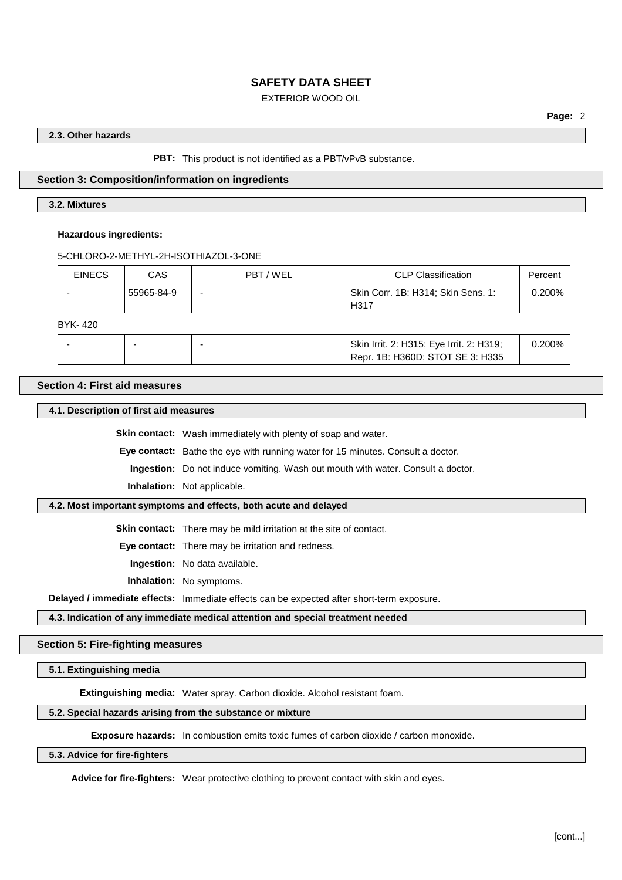### EXTERIOR WOOD OIL

### **2.3. Other hazards**

**PBT:** This product is not identified as a PBT/vPvB substance.

### **Section 3: Composition/information on ingredients**

#### **3.2. Mixtures**

#### **Hazardous ingredients:**

5-CHLORO-2-METHYL-2H-ISOTHIAZOL-3-ONE

| <b>EINECS</b> | CAS        | PBT / WEL | <b>CLP Classification</b>                  | Percent   |
|---------------|------------|-----------|--------------------------------------------|-----------|
|               | 55965-84-9 | -         | Skin Corr. 1B: H314; Skin Sens. 1:<br>H317 | $0.200\%$ |

BYK- 420

|  | Skin Irrit. 2: H315; Eye Irrit. 2: H319;      | 200% |
|--|-----------------------------------------------|------|
|  | <sup>1</sup> Repr. 1B: H360D; STOT SE 3: H335 |      |

## **Section 4: First aid measures**

**4.1. Description of first aid measures**

**Skin contact:** Wash immediately with plenty of soap and water.

**Eye contact:** Bathe the eye with running water for 15 minutes. Consult a doctor.

**Ingestion:** Do not induce vomiting. Wash out mouth with water. Consult a doctor.

**Inhalation:** Not applicable.

### **4.2. Most important symptoms and effects, both acute and delayed**

**Skin contact:** There may be mild irritation at the site of contact.

**Eye contact:** There may be irritation and redness.

**Ingestion:** No data available.

**Inhalation:** No symptoms.

**Delayed / immediate effects:** Immediate effects can be expected after short-term exposure.

**4.3. Indication of any immediate medical attention and special treatment needed**

### **Section 5: Fire-fighting measures**

**5.1. Extinguishing media**

**Extinguishing media:** Water spray. Carbon dioxide. Alcohol resistant foam.

### **5.2. Special hazards arising from the substance or mixture**

**Exposure hazards:** In combustion emits toxic fumes of carbon dioxide / carbon monoxide.

## **5.3. Advice for fire-fighters**

**Advice for fire-fighters:** Wear protective clothing to prevent contact with skin and eyes.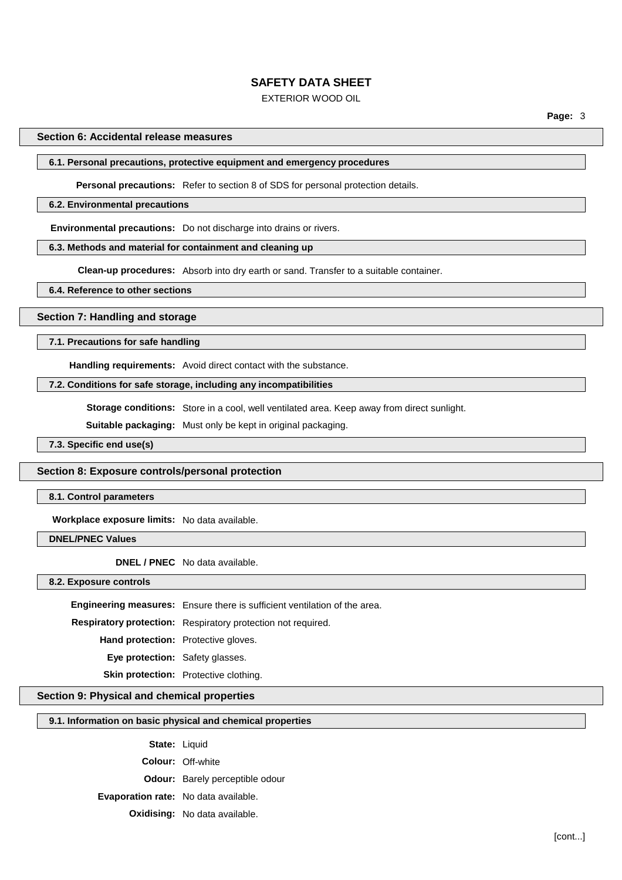### EXTERIOR WOOD OIL

### **Section 6: Accidental release measures**

### **6.1. Personal precautions, protective equipment and emergency procedures**

**Personal precautions:** Refer to section 8 of SDS for personal protection details.

#### **6.2. Environmental precautions**

**Environmental precautions:** Do not discharge into drains or rivers.

### **6.3. Methods and material for containment and cleaning up**

**Clean-up procedures:** Absorb into dry earth or sand. Transfer to a suitable container.

#### **6.4. Reference to other sections**

### **Section 7: Handling and storage**

#### **7.1. Precautions for safe handling**

**Handling requirements:** Avoid direct contact with the substance.

### **7.2. Conditions for safe storage, including any incompatibilities**

**Storage conditions:** Store in a cool, well ventilated area. Keep away from direct sunlight.

**Suitable packaging:** Must only be kept in original packaging.

**7.3. Specific end use(s)**

#### **Section 8: Exposure controls/personal protection**

**8.1. Control parameters**

**Workplace exposure limits:** No data available.

**DNEL/PNEC Values**

**DNEL / PNEC** No data available.

**8.2. Exposure controls**

**Engineering measures:** Ensure there is sufficient ventilation of the area.

**Respiratory protection:** Respiratory protection not required.

**Hand protection:** Protective gloves.

**Eye protection:** Safety glasses.

**Skin protection:** Protective clothing.

# **Section 9: Physical and chemical properties**

#### **9.1. Information on basic physical and chemical properties**

**State:** Liquid

**Colour:** Off-white

**Odour:** Barely perceptible odour

**Evaporation rate:** No data available.

**Oxidising:** No data available.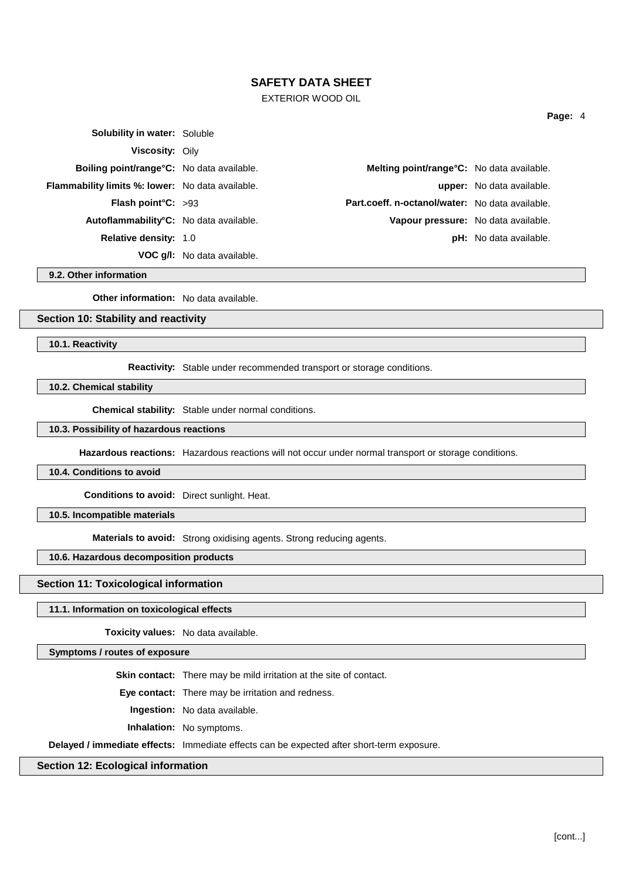### EXTERIOR WOOD OIL

| <b>Solubility in water: Soluble</b>                     |                                                   |                                  |
|---------------------------------------------------------|---------------------------------------------------|----------------------------------|
| <b>Viscosity: Oily</b>                                  |                                                   |                                  |
| <b>Boiling point/range °C:</b> No data available.       | <b>Melting point/range °C:</b> No data available. |                                  |
| <b>Flammability limits %: lower:</b> No data available. |                                                   | <b>upper:</b> No data available. |
| <b>Flash point °C:</b> $>93$                            | Part.coeff. n-octanol/water: No data available.   |                                  |
| Autoflammability <sup>°</sup> C: No data available.     | Vapour pressure: No data available.               |                                  |
| <b>Relative density: 1.0</b>                            |                                                   | <b>pH:</b> No data available.    |
|                                                         | <b>VOC g/l:</b> No data available.                |                                  |

**9.2. Other information**

**Other information:** No data available.

# **Section 10: Stability and reactivity**

**10.1. Reactivity**

**Reactivity:** Stable under recommended transport or storage conditions.

**10.2. Chemical stability**

**Chemical stability:** Stable under normal conditions.

# **10.3. Possibility of hazardous reactions**

**Hazardous reactions:** Hazardous reactions will not occur under normal transport or storage conditions.

#### **10.4. Conditions to avoid**

**Conditions to avoid:** Direct sunlight. Heat.

**10.5. Incompatible materials**

**Materials to avoid:** Strong oxidising agents. Strong reducing agents.

### **10.6. Hazardous decomposition products**

**Section 11: Toxicological information**

#### **11.1. Information on toxicological effects**

**Toxicity values:** No data available.

### **Symptoms / routes of exposure**

**Skin contact:** There may be mild irritation at the site of contact.

**Eye contact:** There may be irritation and redness.

**Ingestion:** No data available.

**Inhalation:** No symptoms.

**Delayed / immediate effects:** Immediate effects can be expected after short-term exposure.

### **Section 12: Ecological information**

**Page:** 4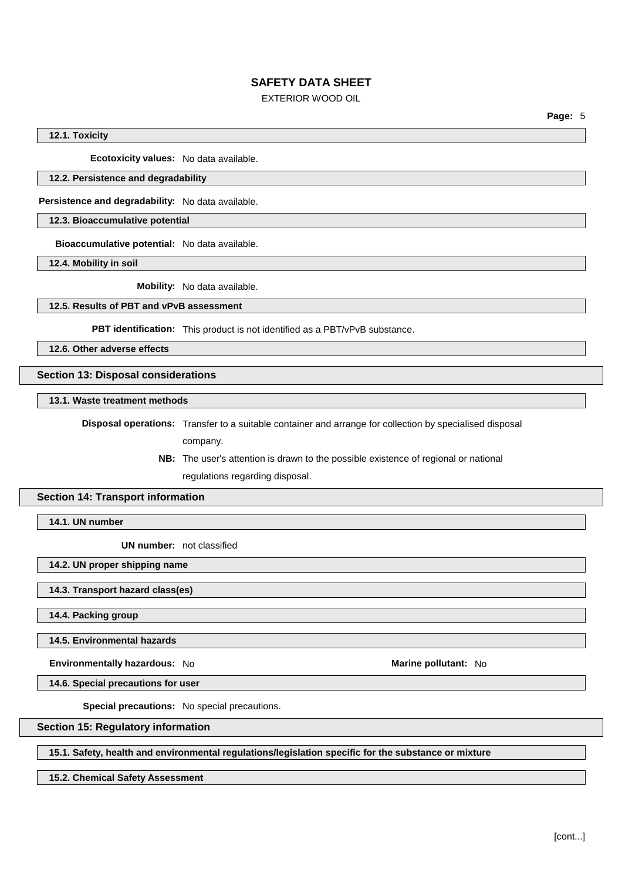### EXTERIOR WOOD OIL

**Page:** 5

### **12.1. Toxicity**

**Ecotoxicity values:** No data available.

#### **12.2. Persistence and degradability**

**Persistence and degradability:** No data available.

### **12.3. Bioaccumulative potential**

**Bioaccumulative potential:** No data available.

**12.4. Mobility in soil**

**Mobility:** No data available.

### **12.5. Results of PBT and vPvB assessment**

**PBT identification:** This product is not identified as a PBT/vPvB substance.

**12.6. Other adverse effects**

### **Section 13: Disposal considerations**

**13.1. Waste treatment methods**

**Disposal operations:** Transfer to a suitable container and arrange for collection by specialised disposal company.

> **NB:** The user's attention is drawn to the possible existence of regional or national regulations regarding disposal.

### **Section 14: Transport information**

**14.1. UN number**

**UN number:** not classified

**14.2. UN proper shipping name**

### **14.3. Transport hazard class(es)**

**14.4. Packing group**

**14.5. Environmental hazards**

**Environmentally hazardous:** No **Marine pollutant:** No

**14.6. Special precautions for user**

**Special precautions:** No special precautions.

### **Section 15: Regulatory information**

**15.1. Safety, health and environmental regulations/legislation specific for the substance or mixture**

**15.2. Chemical Safety Assessment**